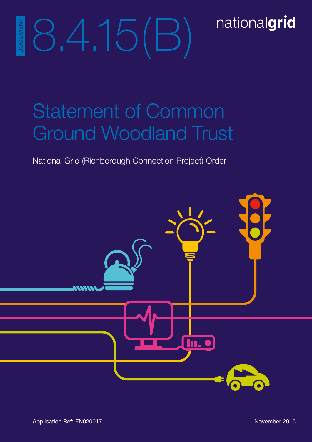# nationalgrid

# 8.4.15(B) DOCUMENT **OCUMEN**

# Statement of Common Ground Woodland Trust

National Grid (Richborough Connection Project) Order

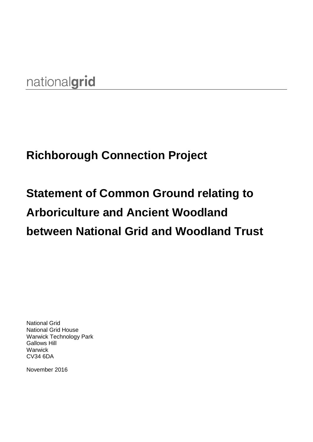## nationalgrid

## **Richborough Connection Project**

# **Statement of Common Ground relating to Arboriculture and Ancient Woodland between National Grid and Woodland Trust**

National Grid National Grid House Warwick Technology Park Gallows Hill **Warwick** CV34 6DA

November 2016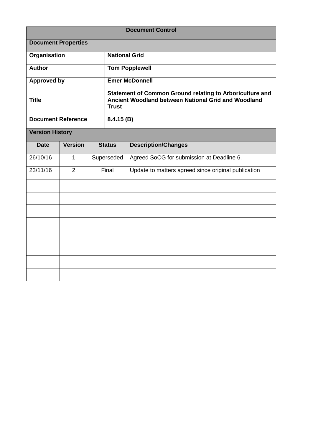|                            |                |  |                                                                                                                                 | <b>Document Control</b>                             |  |
|----------------------------|----------------|--|---------------------------------------------------------------------------------------------------------------------------------|-----------------------------------------------------|--|
| <b>Document Properties</b> |                |  |                                                                                                                                 |                                                     |  |
| <b>Organisation</b>        |                |  | <b>National Grid</b>                                                                                                            |                                                     |  |
| <b>Author</b>              |                |  | <b>Tom Popplewell</b>                                                                                                           |                                                     |  |
| <b>Approved by</b>         |                |  | <b>Emer McDonnell</b>                                                                                                           |                                                     |  |
| <b>Title</b>               |                |  | Statement of Common Ground relating to Arboriculture and<br>Ancient Woodland between National Grid and Woodland<br><b>Trust</b> |                                                     |  |
| <b>Document Reference</b>  |                |  | 8.4.15(B)                                                                                                                       |                                                     |  |
| <b>Version History</b>     |                |  |                                                                                                                                 |                                                     |  |
| <b>Date</b>                | <b>Version</b> |  | <b>Status</b>                                                                                                                   | <b>Description/Changes</b>                          |  |
| 26/10/16                   | 1              |  | Superseded                                                                                                                      | Agreed SoCG for submission at Deadline 6.           |  |
| 23/11/16                   | $\overline{2}$ |  | Final                                                                                                                           | Update to matters agreed since original publication |  |
|                            |                |  |                                                                                                                                 |                                                     |  |
|                            |                |  |                                                                                                                                 |                                                     |  |
|                            |                |  |                                                                                                                                 |                                                     |  |
|                            |                |  |                                                                                                                                 |                                                     |  |
|                            |                |  |                                                                                                                                 |                                                     |  |
|                            |                |  |                                                                                                                                 |                                                     |  |
|                            |                |  |                                                                                                                                 |                                                     |  |
|                            |                |  |                                                                                                                                 |                                                     |  |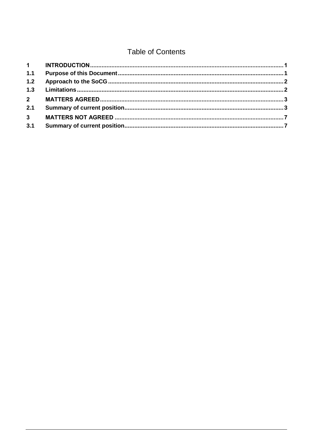### **Table of Contents**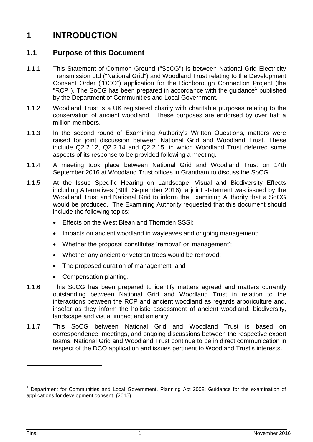### <span id="page-8-0"></span>**1 INTRODUCTION**

#### <span id="page-8-1"></span>**1.1 Purpose of this Document**

- 1.1.1 This Statement of Common Ground ("SoCG") is between National Grid Electricity Transmission Ltd ("National Grid") and Woodland Trust relating to the Development Consent Order ("DCO") application for the Richborough Connection Project (the "RCP"). The SoCG has been prepared in accordance with the guidance<sup>1</sup> published by the Department of Communities and Local Government.
- 1.1.2 Woodland Trust is a UK registered charity with charitable purposes relating to the conservation of ancient woodland. These purposes are endorsed by over half a million members.
- 1.1.3 In the second round of Examining Authority's Written Questions, matters were raised for joint discussion between National Grid and Woodland Trust. These include Q2.2.12, Q2.2.14 and Q2.2.15, in which Woodland Trust deferred some aspects of its response to be provided following a meeting.
- 1.1.4 A meeting took place between National Grid and Woodland Trust on 14th September 2016 at Woodland Trust offices in Grantham to discuss the SoCG.
- 1.1.5 At the Issue Specific Hearing on Landscape, Visual and Biodiversity Effects including Alternatives (30th September 2016), a joint statement was issued by the Woodland Trust and National Grid to inform the Examining Authority that a SoCG would be produced. The Examining Authority requested that this document should include the following topics:
	- **Effects on the West Blean and Thornden SSSI:**
	- Impacts on ancient woodland in wayleaves and ongoing management;
	- Whether the proposal constitutes 'removal' or 'management';
	- Whether any ancient or veteran trees would be removed;
	- The proposed duration of management; and
	- Compensation planting.
- 1.1.6 This SoCG has been prepared to identify matters agreed and matters currently outstanding between National Grid and Woodland Trust in relation to the interactions between the RCP and ancient woodland as regards arboriculture and, insofar as they inform the holistic assessment of ancient woodland: biodiversity, landscape and visual impact and amenity.
- 1.1.7 This SoCG between National Grid and Woodland Trust is based on correspondence, meetings, and ongoing discussions between the respective expert teams. National Grid and Woodland Trust continue to be in direct communication in respect of the DCO application and issues pertinent to Woodland Trust's interests.

 $\overline{a}$ 

<sup>1</sup> Department for Communities and Local Government. Planning Act 2008: Guidance for the examination of applications for development consent. (2015)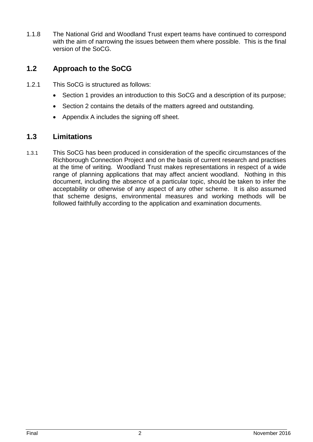1.1.8 The National Grid and Woodland Trust expert teams have continued to correspond with the aim of narrowing the issues between them where possible. This is the final version of the SoCG.

#### <span id="page-9-0"></span>**1.2 Approach to the SoCG**

- 1.2.1 This SoCG is structured as follows:
	- Section 1 provides an introduction to this SoCG and a description of its purpose;
	- Section 2 contains the details of the matters agreed and outstanding.
	- Appendix A includes the signing off sheet.

#### <span id="page-9-1"></span>**1.3 Limitations**

1.3.1 This SoCG has been produced in consideration of the specific circumstances of the Richborough Connection Project and on the basis of current research and practises at the time of writing. Woodland Trust makes representations in respect of a wide range of planning applications that may affect ancient woodland. Nothing in this document, including the absence of a particular topic, should be taken to infer the acceptability or otherwise of any aspect of any other scheme. It is also assumed that scheme designs, environmental measures and working methods will be followed faithfully according to the application and examination documents.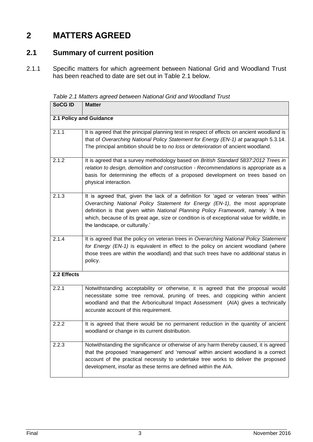### <span id="page-10-0"></span>**2 MATTERS AGREED**

#### <span id="page-10-1"></span>**2.1 Summary of current position**

2.1.1 Specific matters for which agreement between National Grid and Woodland Trust has been reached to date are set out in Table 2.1 below.

*Table 2.1 Matters agreed between National Grid and Woodland Trust*

| <b>SoCGID</b>           | <b>Matter</b>                                                                                                                                                                                                                                                                                                                                                                                 |  |
|-------------------------|-----------------------------------------------------------------------------------------------------------------------------------------------------------------------------------------------------------------------------------------------------------------------------------------------------------------------------------------------------------------------------------------------|--|
| 2.1 Policy and Guidance |                                                                                                                                                                                                                                                                                                                                                                                               |  |
| 2.1.1                   | It is agreed that the principal planning test in respect of effects on ancient woodland is<br>that of Overarching National Policy Statement for Energy (EN-1) at paragraph 5.3.14.<br>The principal ambition should be to no loss or deterioration of ancient woodland.                                                                                                                       |  |
| 2.1.2                   | It is agreed that a survey methodology based on British Standard 5837:2012 Trees in<br>relation to design, demolition and construction - Recommendations is appropriate as a<br>basis for determining the effects of a proposed development on trees based on<br>physical interaction.                                                                                                        |  |
| 2.1.3                   | It is agreed that, given the lack of a definition for 'aged or veteran trees' within<br>Overarching National Policy Statement for Energy (EN-1), the most appropriate<br>definition is that given within National Planning Policy Framework, namely: 'A tree<br>which, because of its great age, size or condition is of exceptional value for wildlife, in<br>the landscape, or culturally.' |  |
| 2.1.4                   | It is agreed that the policy on veteran trees in Overarching National Policy Statement<br>for Energy (EN-1) is equivalent in effect to the policy on ancient woodland (where<br>those trees are within the woodland) and that such trees have no additional status in<br>policy.                                                                                                              |  |
| 2.2 Effects             |                                                                                                                                                                                                                                                                                                                                                                                               |  |
| 2.2.1                   | Notwithstanding acceptability or otherwise, it is agreed that the proposal would<br>necessitate some tree removal, pruning of trees, and coppicing within ancient<br>woodland and that the Arboricultural Impact Assessment (AIA) gives a technically<br>accurate account of this requirement.                                                                                                |  |
| 2.2.2                   | It is agreed that there would be no permanent reduction in the quantity of ancient<br>woodland or change in its current distribution.                                                                                                                                                                                                                                                         |  |
| 2.2.3                   | Notwithstanding the significance or otherwise of any harm thereby caused, it is agreed<br>that the proposed 'management' and 'removal' within ancient woodland is a correct<br>account of the practical necessity to undertake tree works to deliver the proposed<br>development, insofar as these terms are defined within the AIA.                                                          |  |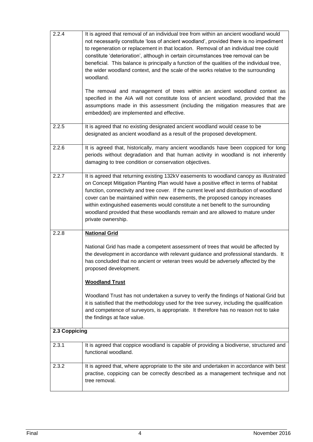| 2.2.4         | It is agreed that removal of an individual tree from within an ancient woodland would<br>not necessarily constitute 'loss of ancient woodland', provided there is no impediment<br>to regeneration or replacement in that location. Removal of an individual tree could<br>constitute 'deterioration', although in certain circumstances tree removal can be<br>beneficial. This balance is principally a function of the qualities of the individual tree,<br>the wider woodland context, and the scale of the works relative to the surrounding<br>woodland.<br>The removal and management of trees within an ancient woodland context as<br>specified in the AIA will not constitute loss of ancient woodland, provided that the<br>assumptions made in this assessment (including the mitigation measures that are<br>embedded) are implemented and effective. |
|---------------|--------------------------------------------------------------------------------------------------------------------------------------------------------------------------------------------------------------------------------------------------------------------------------------------------------------------------------------------------------------------------------------------------------------------------------------------------------------------------------------------------------------------------------------------------------------------------------------------------------------------------------------------------------------------------------------------------------------------------------------------------------------------------------------------------------------------------------------------------------------------|
| 2.2.5         | It is agreed that no existing designated ancient woodland would cease to be<br>designated as ancient woodland as a result of the proposed development.                                                                                                                                                                                                                                                                                                                                                                                                                                                                                                                                                                                                                                                                                                             |
| 2.2.6         | It is agreed that, historically, many ancient woodlands have been coppiced for long<br>periods without degradation and that human activity in woodland is not inherently<br>damaging to tree condition or conservation objectives.                                                                                                                                                                                                                                                                                                                                                                                                                                                                                                                                                                                                                                 |
| 2.2.7         | It is agreed that returning existing 132kV easements to woodland canopy as illustrated<br>on Concept Mitigation Planting Plan would have a positive effect in terms of habitat<br>function, connectivity and tree cover. If the current level and distribution of woodland<br>cover can be maintained within new easements, the proposed canopy increases<br>within extinguished easements would constitute a net benefit to the surrounding<br>woodland provided that these woodlands remain and are allowed to mature under<br>private ownership.                                                                                                                                                                                                                                                                                                                |
| 2.2.8         | <b>National Grid</b>                                                                                                                                                                                                                                                                                                                                                                                                                                                                                                                                                                                                                                                                                                                                                                                                                                               |
|               | National Grid has made a competent assessment of trees that would be affected by<br>the development in accordance with relevant guidance and professional standards. It<br>has concluded that no ancient or veteran trees would be adversely affected by the<br>proposed development.                                                                                                                                                                                                                                                                                                                                                                                                                                                                                                                                                                              |
|               | <b>Woodland Trust</b><br>Woodland Trust has not undertaken a survey to verify the findings of National Grid but<br>it is satisfied that the methodology used for the tree survey, including the qualification<br>and competence of surveyors, is appropriate. It therefore has no reason not to take<br>the findings at face value.                                                                                                                                                                                                                                                                                                                                                                                                                                                                                                                                |
| 2.3 Coppicing |                                                                                                                                                                                                                                                                                                                                                                                                                                                                                                                                                                                                                                                                                                                                                                                                                                                                    |
| 2.3.1         | It is agreed that coppice woodland is capable of providing a biodiverse, structured and<br>functional woodland.                                                                                                                                                                                                                                                                                                                                                                                                                                                                                                                                                                                                                                                                                                                                                    |
| 2.3.2         | It is agreed that, where appropriate to the site and undertaken in accordance with best<br>practise, coppicing can be correctly described as a management technique and not<br>tree removal.                                                                                                                                                                                                                                                                                                                                                                                                                                                                                                                                                                                                                                                                       |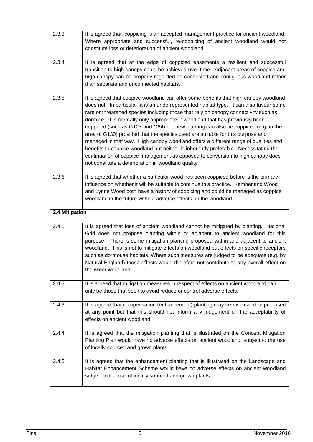| 2.3.3          | It is agreed that, coppicing is an accepted management practice for ancient woodland.<br>Where appropriate and successful, re-coppicing of ancient woodland would not<br>constitute loss or deterioration of ancient woodland.                                                                                                                                                                                                                                                                                                                                                                                                                                                                                                                                                                                                                            |
|----------------|-----------------------------------------------------------------------------------------------------------------------------------------------------------------------------------------------------------------------------------------------------------------------------------------------------------------------------------------------------------------------------------------------------------------------------------------------------------------------------------------------------------------------------------------------------------------------------------------------------------------------------------------------------------------------------------------------------------------------------------------------------------------------------------------------------------------------------------------------------------|
| 2.3.4          | It is agreed that at the edge of coppiced easements a resilient and successful<br>transition to high canopy could be achieved over time. Adjacent areas of coppice and<br>high canopy can be properly regarded as connected and contiguous woodland rather<br>than separate and unconnected habitats.                                                                                                                                                                                                                                                                                                                                                                                                                                                                                                                                                     |
| 2.3.5          | It is agreed that coppice woodland can offer some benefits that high canopy woodland<br>does not. In particular, it is an underrepresented habitat type. It can also favour some<br>rare or threatened species including those that rely on canopy connectivity such as<br>dormice. It is normally only appropriate in woodland that has previously been<br>coppiced (such as G127 and G64) but new planting can also be coppiced (e.g. in the<br>area of G130) provided that the species used are suitable for this purpose and<br>managed in that way. High canopy woodland offers a different range of qualities and<br>benefits to coppice woodland but neither is inherently preferable. Necessitating the<br>continuation of coppice management as opposed to conversion to high canopy does<br>not constitute a deterioration in woodland quality. |
| 2.3.6          | It is agreed that whether a particular wood has been coppiced before is the primary<br>influence on whether it will be suitable to continue this practice. Kemberland Wood<br>and Lynne Wood both have a history of coppicing and could be managed as coppice<br>woodland in the future without adverse effects on the woodland.                                                                                                                                                                                                                                                                                                                                                                                                                                                                                                                          |
| 2.4 Mitigation |                                                                                                                                                                                                                                                                                                                                                                                                                                                                                                                                                                                                                                                                                                                                                                                                                                                           |
| 2.4.1          | It is agreed that loss of ancient woodland cannot be mitigated by planting. National<br>Grid does not propose planting within or adjacent to ancient woodland for this<br>purpose. There is some mitigation planting proposed within and adjacent to ancient<br>woodland. This is not to mitigate effects on woodland but effects on specific receptors<br>such as dormouse habitats. Where such measures are judged to be adequate (e.g. by<br>Natural England) those effects would therefore not contribute to any overall effect on<br>the wider woodland.                                                                                                                                                                                                                                                                                             |
|                |                                                                                                                                                                                                                                                                                                                                                                                                                                                                                                                                                                                                                                                                                                                                                                                                                                                           |
| 2.4.2          | It is agreed that mitigation measures in respect of effects on ancient woodland can<br>only be those that seek to avoid reduce or control adverse effects.                                                                                                                                                                                                                                                                                                                                                                                                                                                                                                                                                                                                                                                                                                |
| 2.4.3          | It is agreed that compensation (enhancement) planting may be discussed or proposed<br>at any point but that this should not inform any judgement on the acceptability of<br>effects on ancient woodland.                                                                                                                                                                                                                                                                                                                                                                                                                                                                                                                                                                                                                                                  |
| 2.4.4          | It is agreed that the mitigation planting that is illustrated on the Concept Mitigation<br>Planting Plan would have no adverse effects on ancient woodland, subject to the use<br>of locally sourced and grown plants                                                                                                                                                                                                                                                                                                                                                                                                                                                                                                                                                                                                                                     |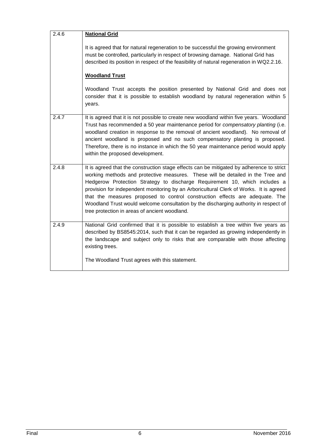<span id="page-13-0"></span>

| 2.4.6 | <b>National Grid</b>                                                                                                                                                                                                                                                                                                                                                                                                                                                                                                                                                         |
|-------|------------------------------------------------------------------------------------------------------------------------------------------------------------------------------------------------------------------------------------------------------------------------------------------------------------------------------------------------------------------------------------------------------------------------------------------------------------------------------------------------------------------------------------------------------------------------------|
|       | It is agreed that for natural regeneration to be successful the growing environment<br>must be controlled, particularly in respect of browsing damage. National Grid has<br>described its position in respect of the feasibility of natural regeneration in WQ2.2.16.                                                                                                                                                                                                                                                                                                        |
|       | <b>Woodland Trust</b>                                                                                                                                                                                                                                                                                                                                                                                                                                                                                                                                                        |
|       | Woodland Trust accepts the position presented by National Grid and does not<br>consider that it is possible to establish woodland by natural regeneration within 5<br>years.                                                                                                                                                                                                                                                                                                                                                                                                 |
| 2.4.7 | It is agreed that it is not possible to create new woodland within five years. Woodland<br>Trust has recommended a 50 year maintenance period for <i>compensatory planting</i> (i.e.<br>woodland creation in response to the removal of ancient woodland). No removal of<br>ancient woodland is proposed and no such compensatory planting is proposed.<br>Therefore, there is no instance in which the 50 year maintenance period would apply<br>within the proposed development.                                                                                           |
| 2.4.8 | It is agreed that the construction stage effects can be mitigated by adherence to strict<br>working methods and protective measures. These will be detailed in the Tree and<br>Hedgerow Protection Strategy to discharge Requirement 10, which includes a<br>provision for independent monitoring by an Arboricultural Clerk of Works. It is agreed<br>that the measures proposed to control construction effects are adequate. The<br>Woodland Trust would welcome consultation by the discharging authority in respect of<br>tree protection in areas of ancient woodland. |
| 2.4.9 | National Grid confirmed that it is possible to establish a tree within five years as<br>described by BS8545:2014, such that it can be regarded as growing independently in<br>the landscape and subject only to risks that are comparable with those affecting<br>existing trees.                                                                                                                                                                                                                                                                                            |
|       | The Woodland Trust agrees with this statement.                                                                                                                                                                                                                                                                                                                                                                                                                                                                                                                               |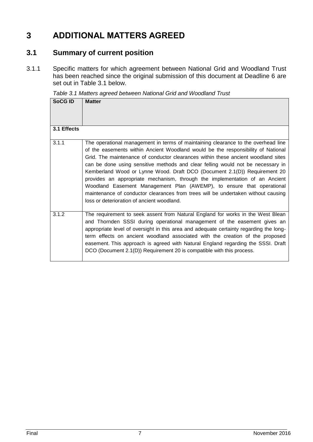### **3 ADDITIONAL MATTERS AGREED**

#### <span id="page-14-0"></span>**3.1 Summary of current position**

3.1.1 Specific matters for which agreement between National Grid and Woodland Trust has been reached since the original submission of this document at Deadline 6 are set out in Table 3.1 below.

*Table 3.1 Matters agreed between National Grid and Woodland Trust*

| <b>SoCG ID</b> | <b>Matter</b>                                                                                                                                                                                                                                                                                                                                                                                                                                                                                                                                                                                                                                                                                                         |
|----------------|-----------------------------------------------------------------------------------------------------------------------------------------------------------------------------------------------------------------------------------------------------------------------------------------------------------------------------------------------------------------------------------------------------------------------------------------------------------------------------------------------------------------------------------------------------------------------------------------------------------------------------------------------------------------------------------------------------------------------|
| 3.1 Effects    |                                                                                                                                                                                                                                                                                                                                                                                                                                                                                                                                                                                                                                                                                                                       |
| 3.1.1          | The operational management in terms of maintaining clearance to the overhead line<br>of the easements within Ancient Woodland would be the responsibility of National<br>Grid. The maintenance of conductor clearances within these ancient woodland sites<br>can be done using sensitive methods and clear felling would not be necessary in<br>Kemberland Wood or Lynne Wood. Draft DCO (Document 2.1(D)) Requirement 20<br>provides an appropriate mechanism, through the implementation of an Ancient<br>Woodland Easement Management Plan (AWEMP), to ensure that operational<br>maintenance of conductor clearances from trees will be undertaken without causing<br>loss or deterioration of ancient woodland. |
| 3.1.2          | The requirement to seek assent from Natural England for works in the West Blean<br>and Thornden SSSI during operational management of the easement gives an<br>appropriate level of oversight in this area and adequate certainty regarding the long-<br>term effects on ancient woodland associated with the creation of the proposed<br>easement. This approach is agreed with Natural England regarding the SSSI. Draft<br>DCO (Document 2.1(D)) Requirement 20 is compatible with this process.                                                                                                                                                                                                                   |